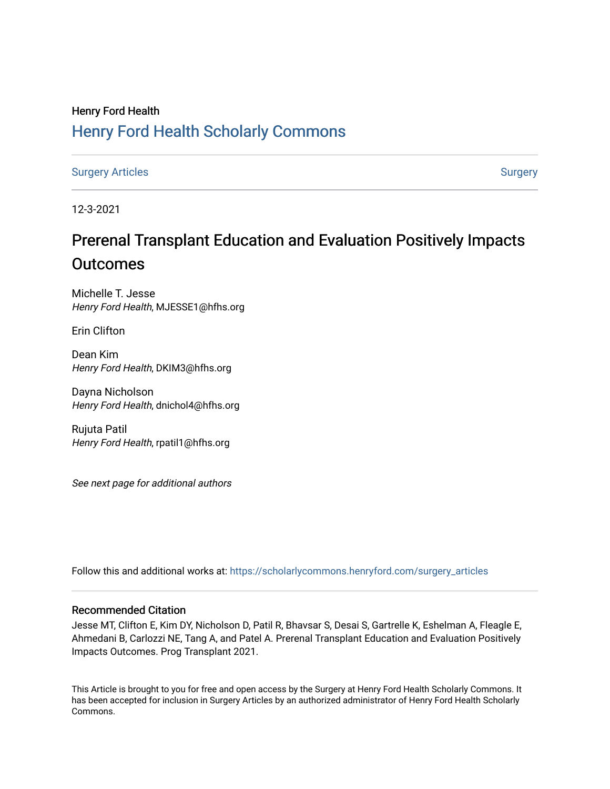# Henry Ford Health [Henry Ford Health Scholarly Commons](https://scholarlycommons.henryford.com/)

[Surgery Articles](https://scholarlycommons.henryford.com/surgery_articles) **[Surgery](https://scholarlycommons.henryford.com/surgery) Articles** Surgery

12-3-2021

# Prerenal Transplant Education and Evaluation Positively Impacts **Outcomes**

Michelle T. Jesse Henry Ford Health, MJESSE1@hfhs.org

Erin Clifton

Dean Kim Henry Ford Health, DKIM3@hfhs.org

Dayna Nicholson Henry Ford Health, dnichol4@hfhs.org

Rujuta Patil Henry Ford Health, rpatil1@hfhs.org

See next page for additional authors

Follow this and additional works at: [https://scholarlycommons.henryford.com/surgery\\_articles](https://scholarlycommons.henryford.com/surgery_articles?utm_source=scholarlycommons.henryford.com%2Fsurgery_articles%2F548&utm_medium=PDF&utm_campaign=PDFCoverPages)

### Recommended Citation

Jesse MT, Clifton E, Kim DY, Nicholson D, Patil R, Bhavsar S, Desai S, Gartrelle K, Eshelman A, Fleagle E, Ahmedani B, Carlozzi NE, Tang A, and Patel A. Prerenal Transplant Education and Evaluation Positively Impacts Outcomes. Prog Transplant 2021.

This Article is brought to you for free and open access by the Surgery at Henry Ford Health Scholarly Commons. It has been accepted for inclusion in Surgery Articles by an authorized administrator of Henry Ford Health Scholarly Commons.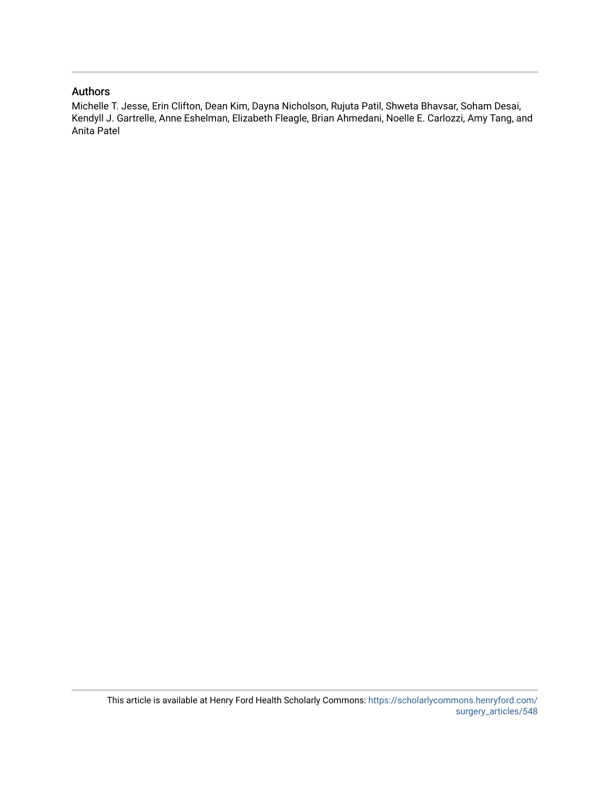### Authors

Michelle T. Jesse, Erin Clifton, Dean Kim, Dayna Nicholson, Rujuta Patil, Shweta Bhavsar, Soham Desai, Kendyll J. Gartrelle, Anne Eshelman, Elizabeth Fleagle, Brian Ahmedani, Noelle E. Carlozzi, Amy Tang, and Anita Patel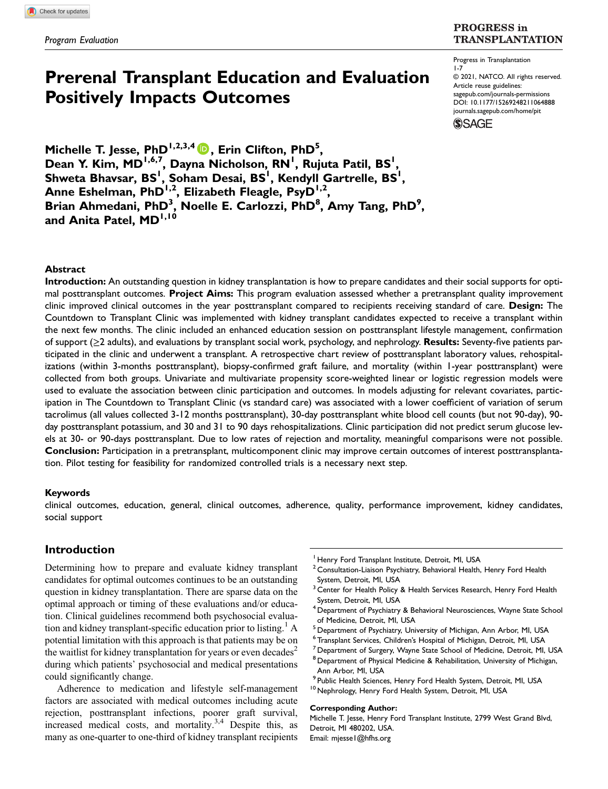## Prerenal Transplant Education and Evaluation 1-7

Progress in Transplantation © 2021, NATCO. All rights reserved. Article reuse guidelines:

[sagepub.com/journals-permissions](https://us.sagepub.com/en-us/journals-permissions) DOI: [10.1177/15269248211064888](https://doi.org/10.1177/15269248211064888)

**TRANSPLANTATION** 

**PROGRESS** in



Michelle T. Jesse, PhD<sup>1,2,3,4</sup> D, Erin Clifton, PhD<sup>5</sup>, Dean Y. Kim, MD<sup>1,6,7</sup>, Dayna Nicholson, RN<sup>1</sup>, Rujuta Patil, BS<sup>1</sup>, Shweta Bhavsar, BS<sup>I</sup>, Soham Desai, BS<sup>I</sup>, Kendyll Gartrelle, BS<sup>I</sup>, Anne Eshelman, PhD<sup>1,2</sup>, Elizabeth Fleagle, PsyD<sup>1,2</sup>, Brian Ahmedani, PhD<sup>3</sup>, Noelle E. Carlozzi, PhD<sup>8</sup>, Amy Tang, PhD<sup>9</sup>, and Anita Patel, MD<sup>1,10</sup>

Positively Impacts Outcomes

#### Abstract

Introduction: An outstanding question in kidney transplantation is how to prepare candidates and their social supports for optimal posttransplant outcomes. **Project Aims:** This program evaluation assessed whether a pretransplant quality improvement clinic improved clinical outcomes in the year posttransplant compared to recipients receiving standard of care. Design: The Countdown to Transplant Clinic was implemented with kidney transplant candidates expected to receive a transplant within the next few months. The clinic included an enhanced education session on posttransplant lifestyle management, confirmation of support (≥2 adults), and evaluations by transplant social work, psychology, and nephrology. Results: Seventy-five patients participated in the clinic and underwent a transplant. A retrospective chart review of posttransplant laboratory values, rehospitalizations (within 3-months posttransplant), biopsy-confirmed graft failure, and mortality (within 1-year posttransplant) were collected from both groups. Univariate and multivariate propensity score-weighted linear or logistic regression models were used to evaluate the association between clinic participation and outcomes. In models adjusting for relevant covariates, participation in The Countdown to Transplant Clinic (vs standard care) was associated with a lower coefficient of variation of serum tacrolimus (all values collected 3-12 months posttransplant), 30-day posttransplant white blood cell counts (but not 90-day), 90 day posttransplant potassium, and 30 and 31 to 90 days rehospitalizations. Clinic participation did not predict serum glucose levels at 30- or 90-days posttransplant. Due to low rates of rejection and mortality, meaningful comparisons were not possible. Conclusion: Participation in a pretransplant, multicomponent clinic may improve certain outcomes of interest posttransplantation. Pilot testing for feasibility for randomized controlled trials is a necessary next step.

#### Keywords

clinical outcomes, education, general, clinical outcomes, adherence, quality, performance improvement, kidney candidates, social support

### Introduction

Determining how to prepare and evaluate kidney transplant candidates for optimal outcomes continues to be an outstanding question in kidney transplantation. There are sparse data on the optimal approach or timing of these evaluations and/or education. Clinical guidelines recommend both psychosocial evaluation and kidney transplant-specific education prior to listing.<sup>1</sup> A potential limitation with this approach is that patients may be on the waitlist for kidney transplantation for years or even decades<sup>2</sup> during which patients' psychosocial and medical presentations could significantly change.

Adherence to medication and lifestyle self-management factors are associated with medical outcomes including acute rejection, posttransplant infections, poorer graft survival, increased medical costs, and mortality. $3,4$  Despite this, as many as one-quarter to one-third of kidney transplant recipients <sup>1</sup> Henry Ford Transplant Institute, Detroit, MI, USA

- $2$  Consultation-Liaison Psychiatry, Behavioral Health, Henry Ford Health System, Detroit, MI, USA
- <sup>3</sup> Center for Health Policy & Health Services Research, Henry Ford Health System, Detroit, MI, USA
- <sup>4</sup> Department of Psychiatry & Behavioral Neurosciences, Wayne State School of Medicine, Detroit, MI, USA
- <sup>5</sup> Department of Psychiatry, University of Michigan, Ann Arbor, MI, USA
- 
- <sup>6</sup> Transplant Services, Children's Hospital of Michigan, Detroit, MI, USA<br><sup>7</sup> Department of Surgery, Wayne State School of Medicine, Detroit, MI, USA
- <sup>8</sup> Department of Physical Medicine & Rehabilitation, University of Michigan, Ann Arbor, MI, USA
- <sup>9</sup> Public Health Sciences, Henry Ford Health System, Detroit, MI, USA<br><sup>10</sup> Nephrology, Henry Ford Health System, Detroit, MI, USA
- 

#### Corresponding Author:

Michelle T. Jesse, Henry Ford Transplant Institute, 2799 West Grand Blvd, Detroit, MI 480202, USA. Email: [mjesse1@hfhs.org](mailto:mjesse1@hfhs.org)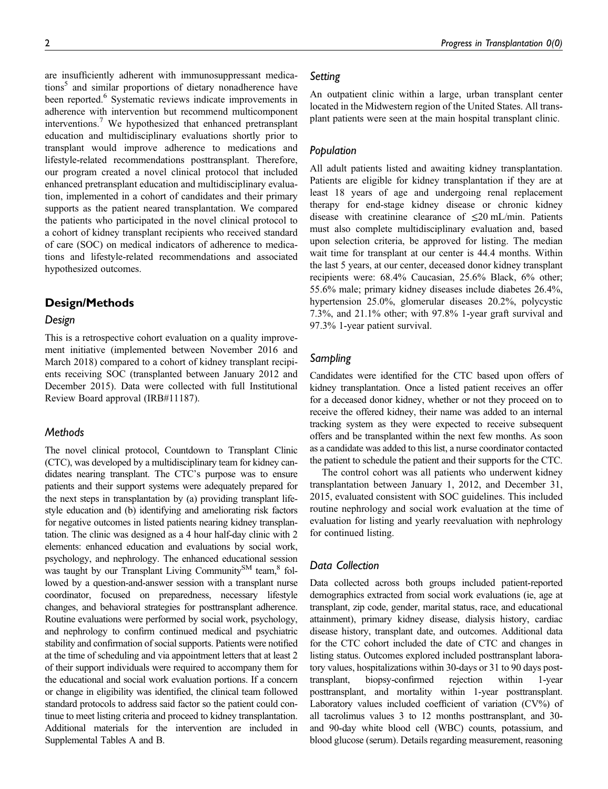are insufficiently adherent with immunosuppressant medications<sup>5</sup> and similar proportions of dietary nonadherence have been reported.<sup>6</sup> Systematic reviews indicate improvements in adherence with intervention but recommend multicomponent interventions.7 We hypothesized that enhanced pretransplant education and multidisciplinary evaluations shortly prior to transplant would improve adherence to medications and lifestyle-related recommendations posttransplant. Therefore, our program created a novel clinical protocol that included enhanced pretransplant education and multidisciplinary evaluation, implemented in a cohort of candidates and their primary supports as the patient neared transplantation. We compared the patients who participated in the novel clinical protocol to a cohort of kidney transplant recipients who received standard of care (SOC) on medical indicators of adherence to medications and lifestyle-related recommendations and associated hypothesized outcomes.

### Design/Methods

### Design

This is a retrospective cohort evaluation on a quality improvement initiative (implemented between November 2016 and March 2018) compared to a cohort of kidney transplant recipients receiving SOC (transplanted between January 2012 and December 2015). Data were collected with full Institutional Review Board approval (IRB#11187).

### **Methods**

The novel clinical protocol, Countdown to Transplant Clinic (CTC), was developed by a multidisciplinary team for kidney candidates nearing transplant. The CTC's purpose was to ensure patients and their support systems were adequately prepared for the next steps in transplantation by (a) providing transplant lifestyle education and (b) identifying and ameliorating risk factors for negative outcomes in listed patients nearing kidney transplantation. The clinic was designed as a 4 hour half-day clinic with 2 elements: enhanced education and evaluations by social work, psychology, and nephrology. The enhanced educational session was taught by our Transplant Living Community<sup>SM</sup> team,<sup>8</sup> followed by a question-and-answer session with a transplant nurse coordinator, focused on preparedness, necessary lifestyle changes, and behavioral strategies for posttransplant adherence. Routine evaluations were performed by social work, psychology, and nephrology to confirm continued medical and psychiatric stability and confirmation of social supports. Patients were notified at the time of scheduling and via appointment letters that at least 2 of their support individuals were required to accompany them for the educational and social work evaluation portions. If a concern or change in eligibility was identified, the clinical team followed standard protocols to address said factor so the patient could continue to meet listing criteria and proceed to kidney transplantation. Additional materials for the intervention are included in Supplemental Tables A and B.

### Setting

An outpatient clinic within a large, urban transplant center located in the Midwestern region of the United States. All transplant patients were seen at the main hospital transplant clinic.

### Population

All adult patients listed and awaiting kidney transplantation. Patients are eligible for kidney transplantation if they are at least 18 years of age and undergoing renal replacement therapy for end-stage kidney disease or chronic kidney disease with creatinine clearance of  $\leq 20$  mL/min. Patients must also complete multidisciplinary evaluation and, based upon selection criteria, be approved for listing. The median wait time for transplant at our center is 44.4 months. Within the last 5 years, at our center, deceased donor kidney transplant recipients were: 68.4% Caucasian, 25.6% Black, 6% other; 55.6% male; primary kidney diseases include diabetes 26.4%, hypertension 25.0%, glomerular diseases 20.2%, polycystic 7.3%, and 21.1% other; with 97.8% 1-year graft survival and 97.3% 1-year patient survival.

### Sampling

Candidates were identified for the CTC based upon offers of kidney transplantation. Once a listed patient receives an offer for a deceased donor kidney, whether or not they proceed on to receive the offered kidney, their name was added to an internal tracking system as they were expected to receive subsequent offers and be transplanted within the next few months. As soon as a candidate was added to this list, a nurse coordinator contacted the patient to schedule the patient and their supports for the CTC.

The control cohort was all patients who underwent kidney transplantation between January 1, 2012, and December 31, 2015, evaluated consistent with SOC guidelines. This included routine nephrology and social work evaluation at the time of evaluation for listing and yearly reevaluation with nephrology for continued listing.

### Data Collection

Data collected across both groups included patient-reported demographics extracted from social work evaluations (ie, age at transplant, zip code, gender, marital status, race, and educational attainment), primary kidney disease, dialysis history, cardiac disease history, transplant date, and outcomes. Additional data for the CTC cohort included the date of CTC and changes in listing status. Outcomes explored included posttransplant laboratory values, hospitalizations within 30-days or 31 to 90 days posttransplant, biopsy-confirmed rejection within 1-year posttransplant, and mortality within 1-year posttransplant. Laboratory values included coefficient of variation (CV%) of all tacrolimus values 3 to 12 months posttransplant, and 30 and 90-day white blood cell (WBC) counts, potassium, and blood glucose (serum). Details regarding measurement, reasoning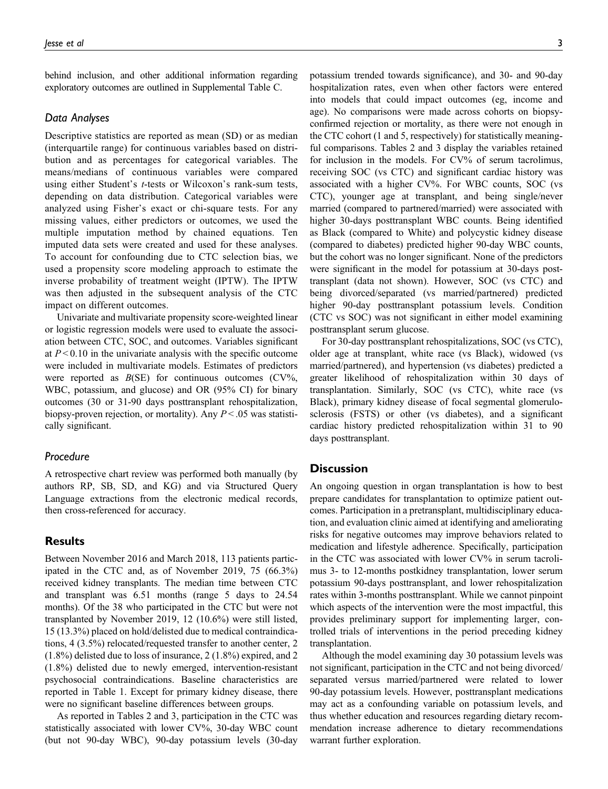behind inclusion, and other additional information regarding exploratory outcomes are outlined in Supplemental Table C.

#### Data Analyses

Descriptive statistics are reported as mean (SD) or as median (interquartile range) for continuous variables based on distribution and as percentages for categorical variables. The means/medians of continuous variables were compared using either Student's t-tests or Wilcoxon's rank-sum tests, depending on data distribution. Categorical variables were analyzed using Fisher's exact or chi-square tests. For any missing values, either predictors or outcomes, we used the multiple imputation method by chained equations. Ten imputed data sets were created and used for these analyses. To account for confounding due to CTC selection bias, we used a propensity score modeling approach to estimate the inverse probability of treatment weight (IPTW). The IPTW was then adjusted in the subsequent analysis of the CTC impact on different outcomes.

Univariate and multivariate propensity score-weighted linear or logistic regression models were used to evaluate the association between CTC, SOC, and outcomes. Variables significant at  $P < 0.10$  in the univariate analysis with the specific outcome were included in multivariate models. Estimates of predictors were reported as  $B(SE)$  for continuous outcomes (CV%, WBC, potassium, and glucose) and OR (95% CI) for binary outcomes (30 or 31-90 days posttransplant rehospitalization, biopsy-proven rejection, or mortality). Any  $P < 0.05$  was statistically significant.

### Procedure

A retrospective chart review was performed both manually (by authors RP, SB, SD, and KG) and via Structured Query Language extractions from the electronic medical records, then cross-referenced for accuracy.

### **Results**

Between November 2016 and March 2018, 113 patients participated in the CTC and, as of November 2019, 75 (66.3%) received kidney transplants. The median time between CTC and transplant was 6.51 months (range 5 days to 24.54 months). Of the 38 who participated in the CTC but were not transplanted by November 2019, 12 (10.6%) were still listed, 15 (13.3%) placed on hold/delisted due to medical contraindications, 4 (3.5%) relocated/requested transfer to another center, 2 (1.8%) delisted due to loss of insurance, 2 (1.8%) expired, and 2 (1.8%) delisted due to newly emerged, intervention-resistant psychosocial contraindications. Baseline characteristics are reported in Table 1. Except for primary kidney disease, there were no significant baseline differences between groups.

As reported in Tables 2 and 3, participation in the CTC was statistically associated with lower CV%, 30-day WBC count (but not 90-day WBC), 90-day potassium levels (30-day

potassium trended towards significance), and 30- and 90-day hospitalization rates, even when other factors were entered into models that could impact outcomes (eg, income and age). No comparisons were made across cohorts on biopsyconfirmed rejection or mortality, as there were not enough in the CTC cohort (1 and 5, respectively) for statistically meaningful comparisons. Tables 2 and 3 display the variables retained for inclusion in the models. For CV% of serum tacrolimus, receiving SOC (vs CTC) and significant cardiac history was associated with a higher CV%. For WBC counts, SOC (vs CTC), younger age at transplant, and being single/never married (compared to partnered/married) were associated with higher 30-days posttransplant WBC counts. Being identified as Black (compared to White) and polycystic kidney disease (compared to diabetes) predicted higher 90-day WBC counts, but the cohort was no longer significant. None of the predictors were significant in the model for potassium at 30-days posttransplant (data not shown). However, SOC (vs CTC) and being divorced/separated (vs married/partnered) predicted higher 90-day posttransplant potassium levels. Condition (CTC vs SOC) was not significant in either model examining posttransplant serum glucose.

For 30-day posttransplant rehospitalizations, SOC (vs CTC), older age at transplant, white race (vs Black), widowed (vs married/partnered), and hypertension (vs diabetes) predicted a greater likelihood of rehospitalization within 30 days of transplantation. Similarly, SOC (vs CTC), white race (vs Black), primary kidney disease of focal segmental glomerulosclerosis (FSTS) or other (vs diabetes), and a significant cardiac history predicted rehospitalization within 31 to 90 days posttransplant.

#### **Discussion**

An ongoing question in organ transplantation is how to best prepare candidates for transplantation to optimize patient outcomes. Participation in a pretransplant, multidisciplinary education, and evaluation clinic aimed at identifying and ameliorating risks for negative outcomes may improve behaviors related to medication and lifestyle adherence. Specifically, participation in the CTC was associated with lower CV% in serum tacrolimus 3- to 12-months postkidney transplantation, lower serum potassium 90-days posttransplant, and lower rehospitalization rates within 3-months posttransplant. While we cannot pinpoint which aspects of the intervention were the most impactful, this provides preliminary support for implementing larger, controlled trials of interventions in the period preceding kidney transplantation.

Although the model examining day 30 potassium levels was not significant, participation in the CTC and not being divorced/ separated versus married/partnered were related to lower 90-day potassium levels. However, posttransplant medications may act as a confounding variable on potassium levels, and thus whether education and resources regarding dietary recommendation increase adherence to dietary recommendations warrant further exploration.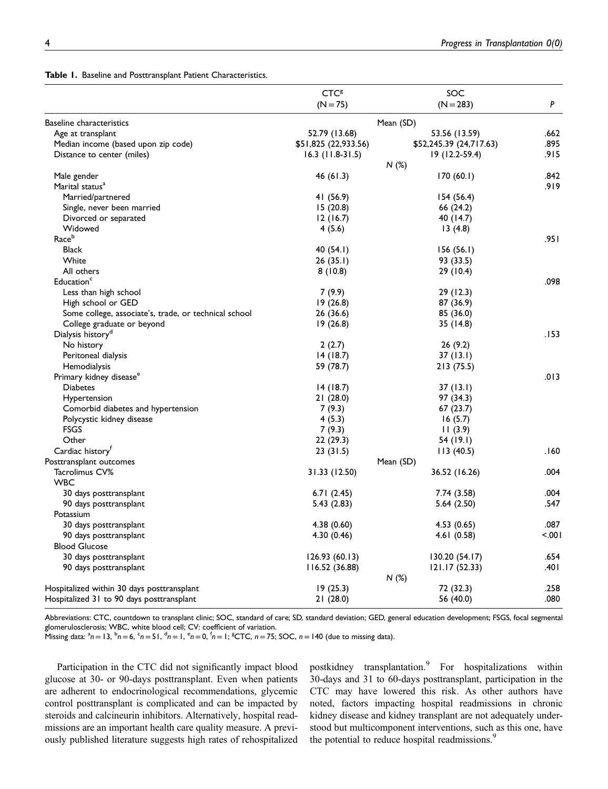|  |  |  |  | Table 1. Baseline and Posttransplant Patient Characteristics. |
|--|--|--|--|---------------------------------------------------------------|
|--|--|--|--|---------------------------------------------------------------|

|                                                       | <b>CTC<sup>8</sup></b> | SOC                     |       |
|-------------------------------------------------------|------------------------|-------------------------|-------|
|                                                       | $(N = 75)$             | $(N = 283)$             | P     |
| Baseline characteristics                              |                        | Mean (SD)               |       |
| Age at transplant                                     | 52.79 (13.68)          | 53.56 (13.59)           | .662  |
| Median income (based upon zip code)                   | \$51,825 (22,933.56)   | \$52,245.39 (24,717.63) | .895  |
| Distance to center (miles)                            | $16.3$ (11.8-31.5)     | $19(12.2-59.4)$         | .915  |
|                                                       |                        | N(%)                    |       |
| Male gender                                           | 46 (61.3)              | 170(60.1)               | .842  |
| Marital status <sup>a</sup>                           |                        |                         | .919  |
| Married/partnered                                     | 41 (56.9)              | 154 (56.4)              |       |
| Single, never been married                            | 15(20.8)               | 66 (24.2)               |       |
| Divorced or separated                                 | 12(16.7)               | 40 (14.7)               |       |
| Widowed                                               | 4 (5.6)                | 13(4.8)                 |       |
| Raceb                                                 |                        |                         | .951  |
| <b>Black</b>                                          | 40 (54.1)              | 156(56.1)               |       |
| White                                                 | 26(35.1)               | 93 (33.5)               |       |
| All others                                            | 8(10.8)                | 29 (10.4)               |       |
| Education <sup>c</sup>                                |                        |                         | .098  |
| Less than high school                                 | 7(9.9)                 | 29 (12.3)               |       |
| High school or GED                                    | 19(26.8)               | 87 (36.9)               |       |
| Some college, associate's, trade, or technical school | 26 (36.6)              | 85 (36.0)               |       |
| College graduate or beyond                            | 19(26.8)               | 35 (14.8)               |       |
| Dialysis history <sup>d</sup>                         |                        |                         | .153  |
| No history                                            | 2(2.7)                 | 26(9.2)                 |       |
| Peritoneal dialysis                                   | 14(18.7)               | 37(13.1)                |       |
| Hemodialysis                                          | 59 (78.7)              | 213 (75.5)              |       |
| Primary kidney disease <sup>e</sup>                   |                        |                         | .013  |
| <b>Diabetes</b>                                       | 14(18.7)               | 37 (13.1)               |       |
| Hypertension                                          | 21 (28.0)              | 97 (34.3)               |       |
| Comorbid diabetes and hypertension                    | 7(9.3)                 | 67 (23.7)               |       |
| Polycystic kidney disease                             | 4(5.3)                 | 16(5.7)                 |       |
| <b>FSGS</b>                                           | 7(9.3)                 | 11(3.9)                 |       |
| Other                                                 | 22(29.3)               | 54 (19.1)               |       |
| Cardiac history <sup>r</sup>                          | 23 (31.5)              | 113(40.5)               | 160.  |
| Posttransplant outcomes                               |                        | Mean (SD)               |       |
| Tacrolimus CV%                                        | 31.33 (12.50)          | 36.52 (16.26)           | .004  |
| <b>WBC</b>                                            |                        |                         |       |
| 30 days posttransplant                                | 6.71(2.45)             | 7.74 (3.58)             | .004  |
| 90 days posttransplant                                | 5.43(2.83)             | 5.64(2.50)              | .547  |
| Potassium                                             |                        |                         |       |
| 30 days posttransplant                                | 4.38 (0.60)            | 4.53(0.65)              | .087  |
| 90 days posttransplant                                | 4.30 (0.46)            | 4.61(0.58)              | 5.001 |
| <b>Blood Glucose</b>                                  |                        |                         |       |
| 30 days posttransplant                                | 126.93 (60.13)         | 130.20 (54.17)          | .654  |
| 90 days posttransplant                                | 116.52 (36.88)         | 121.17 (52.33)          | .401  |
|                                                       |                        | N(%)                    |       |
| Hospitalized within 30 days posttransplant            | 19(25.3)               | 72 (32.3)               | .258  |
| Hospitalized 31 to 90 days posttransplant             | 21(28.0)               | 56 (40.0)               | .080  |
|                                                       |                        |                         |       |

Abbreviations: CTC, countdown to transplant clinic; SOC, standard of care; SD, standard deviation; GED, general education development; FSGS, focal segmental glomerulosclerosis; WBC, white blood cell; CV: coefficient of variation.

Missing data:  ${}^{a}n = 13$ ,  ${}^{b}n = 6$ ,  ${}^{c}n = 51$ ,  ${}^{d}n = 1$ ,  ${}^{e}n = 0$ ,  ${}^{f}n = 1$ ;  ${}^{g}$ CTC,  $n = 75$ ; SOC,  $n = 140$  (due to missing data).

Participation in the CTC did not significantly impact blood glucose at 30- or 90-days posttransplant. Even when patients are adherent to endocrinological recommendations, glycemic control posttransplant is complicated and can be impacted by steroids and calcineurin inhibitors. Alternatively, hospital readmissions are an important health care quality measure. A previously published literature suggests high rates of rehospitalized postkidney transplantation.<sup>9</sup> For hospitalizations within 30-days and 31 to 60-days posttransplant, participation in the CTC may have lowered this risk. As other authors have noted, factors impacting hospital readmissions in chronic kidney disease and kidney transplant are not adequately understood but multicomponent interventions, such as this one, have the potential to reduce hospital readmissions.<sup>9</sup>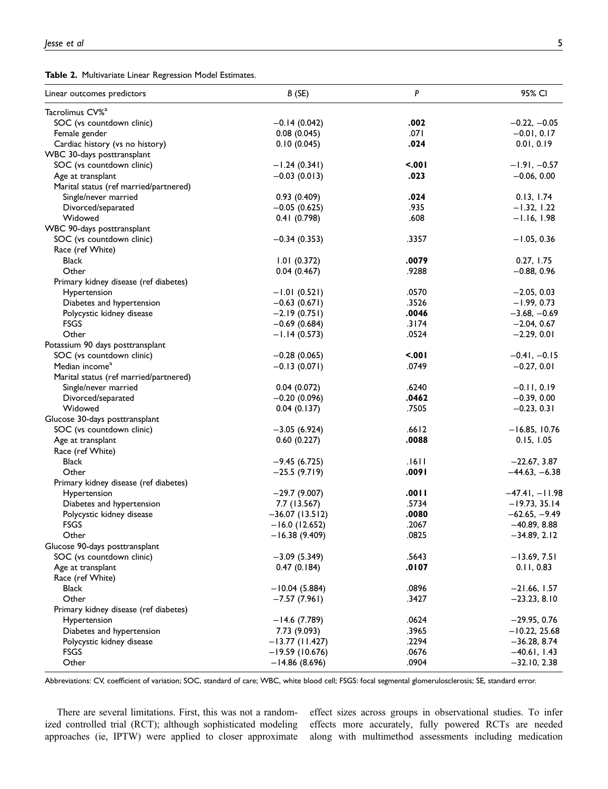Table 2. Multivariate Linear Regression Model Estimates.

| Linear outcomes predictors             | B(SE)                            | P     | 95% CI           |
|----------------------------------------|----------------------------------|-------|------------------|
| Tacrolimus CV% <sup>a</sup>            |                                  |       |                  |
| SOC (vs countdown clinic)              | $-0.14(0.042)$                   | .002  | $-0.22, -0.05$   |
| Female gender                          | 0.08(0.045)                      | .071  | $-0.01, 0.17$    |
| Cardiac history (vs no history)        | 0.10(0.045)                      | .024  | 0.01, 0.19       |
| WBC 30-days posttransplant             |                                  |       |                  |
| SOC (vs countdown clinic)              | $-1.24(0.341)$                   | 5.001 | $-1.91, -0.57$   |
| Age at transplant                      | $-0.03(0.013)$                   | .023  | $-0.06, 0.00$    |
| Marital status (ref married/partnered) |                                  |       |                  |
| Single/never married                   | 0.93(0.409)                      | .024  | 0.13, 1.74       |
| Divorced/separated                     | $-0.05(0.625)$                   | .935  | $-1.32, 1.22$    |
| Widowed                                | 0.41(0.798)                      | .608  | $-1.16, 1.98$    |
| WBC 90-days posttransplant             |                                  |       |                  |
| SOC (vs countdown clinic)              | $-0.34(0.353)$                   | .3357 | $-1.05, 0.36$    |
| Race (ref White)                       |                                  |       |                  |
| <b>Black</b>                           | 1.01(0.372)                      | .0079 | 0.27, 1.75       |
| Other                                  | 0.04(0.467)                      | .9288 | $-0.88, 0.96$    |
| Primary kidney disease (ref diabetes)  |                                  |       |                  |
| Hypertension                           | $-1.01(0.521)$                   | .0570 | $-2.05, 0.03$    |
| Diabetes and hypertension              | $-0.63(0.671)$                   | .3526 | $-1.99, 0.73$    |
| Polycystic kidney disease              | $-2.19(0.751)$                   | .0046 | $-3.68, -0.69$   |
| <b>FSGS</b>                            | $-0.69(0.684)$                   | .3174 | $-2.04, 0.67$    |
| Other                                  | $-1.14(0.573)$                   | .0524 | $-2.29, 0.01$    |
| Potassium 90 days posttransplant       |                                  |       |                  |
| SOC (vs countdown clinic)              | $-0.28(0.065)$                   | 5.001 | $-0.41, -0.15$   |
| Median income <sup>a</sup>             | $-0.13(0.071)$                   | .0749 | $-0.27, 0.01$    |
| Marital status (ref married/partnered) |                                  |       |                  |
| Single/never married                   | 0.04(0.072)                      | .6240 | $-0.11, 0.19$    |
| Divorced/separated                     | $-0.20(0.096)$                   | .0462 | $-0.39, 0.00$    |
| Widowed                                | 0.04(0.137)                      | .7505 | $-0.23, 0.31$    |
| Glucose 30-days posttransplant         |                                  |       |                  |
| SOC (vs countdown clinic)              | $-3.05(6.924)$                   | .6612 | $-16.85, 10.76$  |
| Age at transplant                      | 0.60(0.227)                      | .0088 | 0.15, 1.05       |
| Race (ref White)                       |                                  |       |                  |
| <b>Black</b>                           | $-9.45(6.725)$                   | .1611 | $-22.67, 3.87$   |
| Other                                  | $-25.5(9.719)$                   | .0091 | $-44.63, -6.38$  |
| Primary kidney disease (ref diabetes)  |                                  |       |                  |
| Hypertension                           | $-29.7(9.007)$                   | .0011 | $-47.41, -11.98$ |
| Diabetes and hypertension              | 7.7 (13.567)                     | .5734 | $-19.73, 35.14$  |
| Polycystic kidney disease              | $-36.07(13.512)$                 | .0080 | $-62.65, -9.49$  |
| <b>FSGS</b>                            | $-16.0$ (12.652)                 | .2067 | $-40.89, 8.88$   |
| Other                                  | $-16.38(9.409)$                  | .0825 | $-34.89, 2.12$   |
| Glucose 90-days posttransplant         |                                  |       |                  |
| SOC (vs countdown clinic)              | $-3.09(5.349)$                   | .5643 | $-13.69, 7.51$   |
| Age at transplant                      | 0.47(0.184)                      | .0107 | 0.11, 0.83       |
| Race (ref White)                       |                                  |       |                  |
| Black                                  | $-10.04(5.884)$                  | .0896 | $-21.66, 1.57$   |
| Other                                  | $-7.57(7.961)$                   | .3427 | $-23.23, 8.10$   |
| Primary kidney disease (ref diabetes)  |                                  |       |                  |
|                                        |                                  | .0624 | $-29.95, 0.76$   |
| Hypertension                           | $-14.6(7.789)$                   | .3965 |                  |
| Diabetes and hypertension              | 7.73 (9.093)<br>$-13.77(11.427)$ | .2294 | $-10.22, 25.68$  |
| Polycystic kidney disease              |                                  |       | $-36.28, 8.74$   |
| <b>FSGS</b>                            | $-19.59(10.676)$                 | .0676 | $-40.61, 1.43$   |
| Other                                  | $-14.86(8.696)$                  | .0904 | $-32.10, 2.38$   |

Abbreviations: CV, coefficient of variation; SOC, standard of care; WBC, white blood cell; FSGS: focal segmental glomerulosclerosis; SE, standard error.

There are several limitations. First, this was not a randomized controlled trial (RCT); although sophisticated modeling approaches (ie, IPTW) were applied to closer approximate effect sizes across groups in observational studies. To infer effects more accurately, fully powered RCTs are needed along with multimethod assessments including medication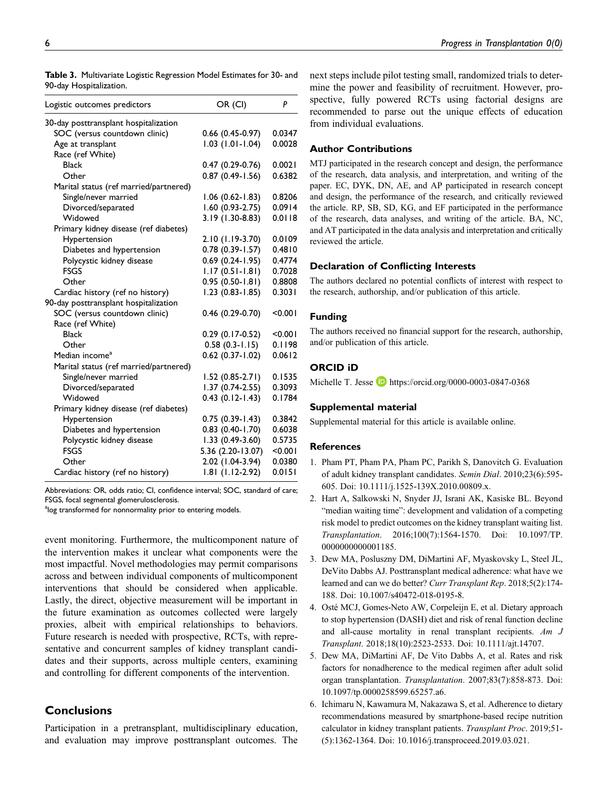| Logistic outcomes predictors           | OR (CI)                | P       |
|----------------------------------------|------------------------|---------|
| 30-day posttransplant hospitalization  |                        |         |
| SOC (versus countdown clinic)          | $0.66$ (0.45-0.97)     | 0.0347  |
| Age at transplant                      | $1.03$ (1.01-1.04)     | 0.0028  |
| Race (ref White)                       |                        |         |
| <b>Black</b>                           | $0.47(0.29-0.76)$      | 0.0021  |
| Other                                  | $0.87(0.49 - 1.56)$    | 0.6382  |
| Marital status (ref married/partnered) |                        |         |
| Single/never married                   | $1.06$ (0.62-1.83)     | 0.8206  |
| Divorced/separated                     | $1.60(0.93-2.75)$      | 0.0914  |
| Widowed                                | 3.19 (1.30-8.83)       | 0.0118  |
| Primary kidney disease (ref diabetes)  |                        |         |
| Hypertension                           | 2.10 (1.19-3.70)       | 0.0109  |
| Diabetes and hypertension              | $0.78(0.39 - 1.57)$    | 0.4810  |
| Polycystic kidney disease              | $0.69$ $(0.24 - 1.95)$ | 0.4774  |
| <b>FSGS</b>                            | $1.17(0.51 - 1.81)$    | 0.7028  |
| Other                                  | $0.95(0.50 - 1.81)$    | 0.8808  |
| Cardiac history (ref no history)       | $1.23(0.83 - 1.85)$    | 0.3031  |
| 90-day posttransplant hospitalization  |                        |         |
| SOC (versus countdown clinic)          | $0.46$ (0.29-0.70)     | < 0.001 |
| Race (ref White)                       |                        |         |
| <b>Black</b>                           | $0.29(0.17-0.52)$      | < 0.001 |
| Other                                  | $0.58(0.3-1.15)$       | 0.1198  |
| Median income <sup>a</sup>             | $0.62$ $(0.37 - 1.02)$ | 0.0612  |
| Marital status (ref married/partnered) |                        |         |
| Single/never married                   | 1.52 (0.85-2.71)       | 0.1535  |
| Divorced/separated                     | 1.37 (0.74-2.55)       | 0.3093  |
| Widowed                                | $0.43(0.12-1.43)$      | 0.1784  |
| Primary kidney disease (ref diabetes)  |                        |         |
| Hypertension                           | $0.75(0.39-1.43)$      | 0.3842  |
| Diabetes and hypertension              | $0.83$ $(0.40 - 1.70)$ | 0.6038  |
| Polycystic kidney disease              | $1.33(0.49-3.60)$      | 0.5735  |
| <b>FSGS</b>                            | 5.36 (2.20-13.07)      | < 0.001 |
| Other                                  | 2.02 (1.04-3.94)       | 0.0380  |
| Cardiac history (ref no history)       | 1.81 (1.12-2.92)       | 0.0151  |

Table 3. Multivariate Logistic Regression Model Estimates for 30- and 90-day Hospitalization.

Abbreviations: OR, odds ratio; CI, confidence interval; SOC, standard of care; FSGS, focal segmental glomerulosclerosis.

<sup>a</sup>log transformed for nonnormality prior to entering models.

event monitoring. Furthermore, the multicomponent nature of the intervention makes it unclear what components were the most impactful. Novel methodologies may permit comparisons across and between individual components of multicomponent interventions that should be considered when applicable. Lastly, the direct, objective measurement will be important in the future examination as outcomes collected were largely proxies, albeit with empirical relationships to behaviors. Future research is needed with prospective, RCTs, with representative and concurrent samples of kidney transplant candidates and their supports, across multiple centers, examining and controlling for different components of the intervention.

### **Conclusions**

Participation in a pretransplant, multidisciplinary education, and evaluation may improve posttransplant outcomes. The next steps include pilot testing small, randomized trials to determine the power and feasibility of recruitment. However, prospective, fully powered RCTs using factorial designs are recommended to parse out the unique effects of education from individual evaluations.

### Author Contributions

MTJ participated in the research concept and design, the performance of the research, data analysis, and interpretation, and writing of the paper. EC, DYK, DN, AE, and AP participated in research concept and design, the performance of the research, and critically reviewed the article. RP, SB, SD, KG, and EF participated in the performance of the research, data analyses, and writing of the article. BA, NC, and AT participated in the data analysis and interpretation and critically reviewed the article.

### Declaration of Conflicting Interests

The authors declared no potential conflicts of interest with respect to the research, authorship, and/or publication of this article.

#### Funding

The authors received no financial support for the research, authorship, and/or publication of this article.

#### ORCID iD

Michelle T. Jesse  $\Box$  <https://orcid.org/0000-0003-0847-0368>

#### Supplemental material

Supplemental material for this article is available online.

#### **References**

- 1. Pham PT, Pham PA, Pham PC, Parikh S, Danovitch G. Evaluation of adult kidney transplant candidates. Semin Dial. 2010;23(6):595- 605. Doi: [10.1111/j.1525-139X.2010.00809.x](https://doi.org/10.1111/j.1525-139X.2010.00809.x).
- 2. Hart A, Salkowski N, Snyder JJ, Israni AK, Kasiske BL. Beyond "median waiting time": development and validation of a competing risk model to predict outcomes on the kidney transplant waiting list. Transplantation. 2016;100(7):1564-1570. Doi: [10.1097/TP.](https://doi.org/10.1097/TP.0000000000001185) [0000000000001185](https://doi.org/10.1097/TP.0000000000001185).
- 3. Dew MA, Posluszny DM, DiMartini AF, Myaskovsky L, Steel JL, DeVito Dabbs AJ. Posttransplant medical adherence: what have we learned and can we do better? Curr Transplant Rep. 2018;5(2):174- 188. Doi: [10.1007/s40472-018-0195-8](https://doi.org/10.1007/s40472-018-0195-8).
- 4. Osté MCJ, Gomes-Neto AW, Corpeleijn E, et al. Dietary approach to stop hypertension (DASH) diet and risk of renal function decline and all-cause mortality in renal transplant recipients. Am J Transplant. 2018;18(10):2523-2533. Doi: [10.1111/ajt.14707.](https://doi.org/10.1111/ajt.14707)
- 5. Dew MA, DiMartini AF, De Vito Dabbs A, et al. Rates and risk factors for nonadherence to the medical regimen after adult solid organ transplantation. Transplantation. 2007;83(7):858-873. Doi: [10.1097/tp.0000258599.65257.a6](https://doi.org/10.1097/tp.0000258599.65257.a6).
- 6. Ichimaru N, Kawamura M, Nakazawa S, et al. Adherence to dietary recommendations measured by smartphone-based recipe nutrition calculator in kidney transplant patients. Transplant Proc. 2019;51- (5):1362-1364. Doi: [10.1016/j.transproceed.2019.03.021](https://doi.org/10.1016/j.transproceed.2019.03.021).